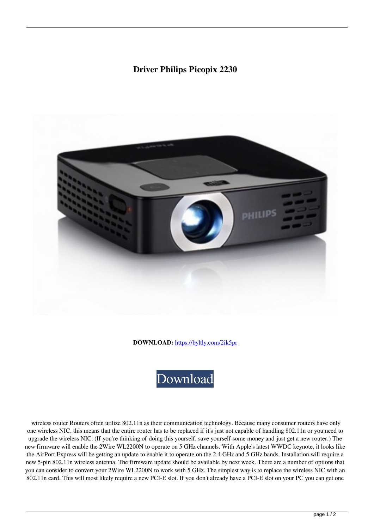## **Driver Philips Picopix 2230**



**DOWNLOAD:** <https://byltly.com/2ik5pr>



 wireless router Routers often utilize 802.11n as their communication technology. Because many consumer routers have only one wireless NIC, this means that the entire router has to be replaced if it's just not capable of handling 802.11n or you need to upgrade the wireless NIC. (If you're thinking of doing this yourself, save yourself some money and just get a new router.) The new firmware will enable the 2Wire WL2200N to operate on 5 GHz channels. With Apple's latest WWDC keynote, it looks like the AirPort Express will be getting an update to enable it to operate on the 2.4 GHz and 5 GHz bands. Installation will require a new 5-pin 802.11n wireless antenna. The firmware update should be available by next week. There are a number of options that you can consider to convert your 2Wire WL2200N to work with 5 GHz. The simplest way is to replace the wireless NIC with an 802.11n card. This will most likely require a new PCI-E slot. If you don't already have a PCI-E slot on your PC you can get one